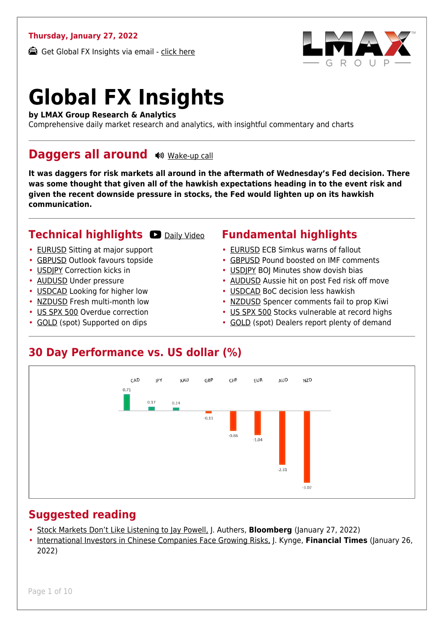#### **Thursday, January 27, 2022**

Get Global FX Insights via email - [click here](https://www.lmax.com/blog/global-fx-insights/sign-up/?src=gfxipdf)



# **Global FX Insights**

**by LMAX Group Research & Analytics**

Comprehensive daily market research and analytics, with insightful commentary and charts

#### **Daggers all around**  $\bullet$  [Wake-up call](https://www.lmax.com/blog/global-fx-insights/2022/01/27/daggers-all-around/?utm_source=GlobalFXInsights-Newsletter&utm_medium=Email&utm_campaign=GlobalFXInsights&audio=play#wakeup-52526)

**It was daggers for risk markets all around in the aftermath of Wednesday's Fed decision. There was some thought that given all of the hawkish expectations heading in to the event risk and given the recent downside pressure in stocks, the Fed would lighten up on its hawkish communication.**

#### **Technical highlights D** [Daily Video](https://www.lmax.com/blog/global-fx-insights/2022/01/27/daggers-all-around/?utm_source=GlobalFXInsights-Newsletter&utm_medium=Email&utm_campaign=GlobalFXInsights&popup=watch#charttalk-52526)

- [EURUSD](#page-1-0) Sitting at major support
- [GBPUSD](#page-2-0) Outlook favours topside
- [USDJPY](#page-3-0) Correction kicks in
- [AUDUSD](#page-4-0) Under pressure
- [USDCAD](#page-5-0) Looking for higher low
- [NZDUSD](#page-6-0) Fresh multi-month low
- [US SPX 500](#page-7-0) Overdue correction
- [GOLD](#page-8-0) (spot) Supported on dips

#### **Fundamental highlights**

- [EURUSD](#page-1-1) ECB Simkus warns of fallout
- [GBPUSD](#page-2-1) Pound boosted on IMF comments
- [USDJPY](#page-3-1) BOJ Minutes show dovish bias
- [AUDUSD](#page-4-1) Aussie hit on post Fed risk off move
- [USDCAD](#page-5-1) BoC decision less hawkish
- [NZDUSD](#page-6-1) Spencer comments fail to prop Kiwi
- [US SPX 500](#page-7-1) Stocks vulnerable at record highs
- [GOLD](#page-8-1) (spot) Dealers report plenty of demand

#### **30 Day Performance vs. US dollar (%)**



#### **Suggested reading**

- [Stock Markets Don't Like Listening to Jay Powell,](https://www.lmax.com/blog/global-fx-insights/2022/01/27/daggers-all-around/?read=https://www.bloomberg.com/opinion/articles/2022-01-27/stock-markets-don-t-like-listening-to-fed-s-powell-after-inflation-meeting?srnd=opinion-markets) J. Authers, **Bloomberg** (January 27, 2022)
- [International Investors in Chinese Companies Face Growing Risks,](https://www.lmax.com/blog/global-fx-insights/2022/01/27/daggers-all-around/?read=https://www.ft.com/video/4bcf73fe-0046-4e98-b8b6-c5f976d21820?playlist-name=latest&playlist-offset=0) J. Kynge, **Financial Times** (January 26, 2022)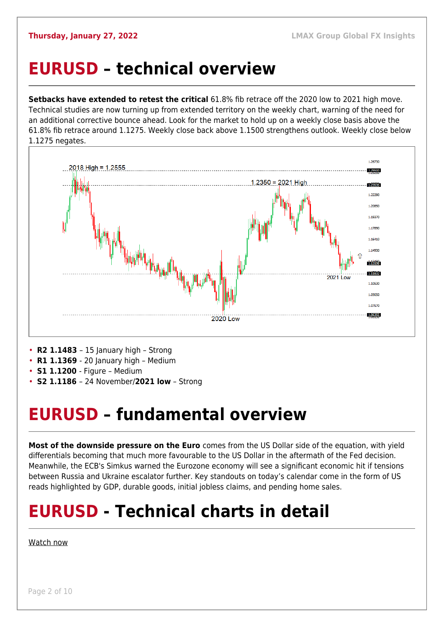#### <span id="page-1-0"></span>**EURUSD – technical overview**

**Setbacks have extended to retest the critical** 61.8% fib retrace off the 2020 low to 2021 high move. Technical studies are now turning up from extended territory on the weekly chart, warning of the need for an additional corrective bounce ahead. Look for the market to hold up on a weekly close basis above the 61.8% fib retrace around 1.1275. Weekly close back above 1.1500 strengthens outlook. Weekly close below 1.1275 negates.



- **R1 1.1369**  20 January high Medium
- **S1 1.1200**  Figure Medium
- **S2 1.1186**  24 November/**2021 low** Strong

#### <span id="page-1-1"></span>**EURUSD – fundamental overview**

**Most of the downside pressure on the Euro** comes from the US Dollar side of the equation, with yield differentials becoming that much more favourable to the US Dollar in the aftermath of the Fed decision. Meanwhile, the ECB's Simkus warned the Eurozone economy will see a significant economic hit if tensions between Russia and Ukraine escalator further. Key standouts on today's calendar come in the form of US reads highlighted by GDP, durable goods, initial jobless claims, and pending home sales.

## **EURUSD - Technical charts in detail**

#### [Watch now](https://youtu.be/P29foKX1IDw)

Page 2 of 10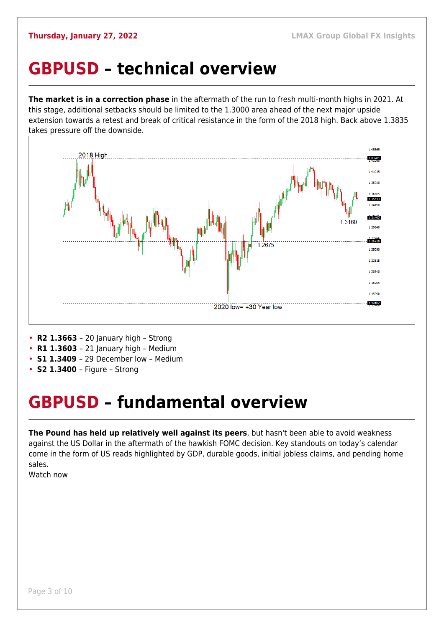### <span id="page-2-0"></span>**GBPUSD – technical overview**

**The market is in a correction phase** in the aftermath of the run to fresh multi-month highs in 2021. At this stage, additional setbacks should be limited to the 1.3000 area ahead of the next major upside extension towards a retest and break of critical resistance in the form of the 2018 high. Back above 1.3835 takes pressure off the downside.



- **R2 1.3663**  20 January high Strong
- **R1 1.3603**  21 January high Medium
- **S1 1.3409**  29 December low Medium
- **S2 1.3400**  Figure Strong

## <span id="page-2-1"></span>**GBPUSD – fundamental overview**

**The Pound has held up relatively well against its peers**, but hasn't been able to avoid weakness against the US Dollar in the aftermath of the hawkish FOMC decision. Key standouts on today's calendar come in the form of US reads highlighted by GDP, durable goods, initial jobless claims, and pending home sales.

[Watch now](https://youtu.be/us4VlHNnfwY)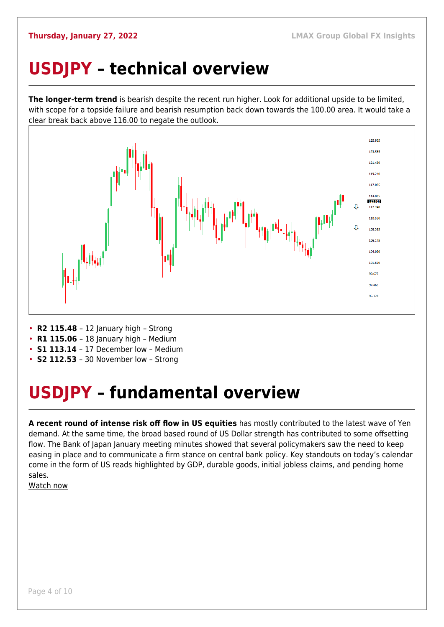## <span id="page-3-0"></span>**USDJPY – technical overview**

**The longer-term trend** is bearish despite the recent run higher. Look for additional upside to be limited, with scope for a topside failure and bearish resumption back down towards the 100.00 area. It would take a clear break back above 116.00 to negate the outlook.



- **R2 115.48**  12 January high Strong
- **R1 115.06** 18 January high Medium
- **S1 113.14**  17 December low Medium
- **S2 112.53**  30 November low Strong

## <span id="page-3-1"></span>**USDJPY – fundamental overview**

**A recent round of intense risk off flow in US equities** has mostly contributed to the latest wave of Yen demand. At the same time, the broad based round of US Dollar strength has contributed to some offsetting flow. The Bank of Japan January meeting minutes showed that several policymakers saw the need to keep easing in place and to communicate a firm stance on central bank policy. Key standouts on today's calendar come in the form of US reads highlighted by GDP, durable goods, initial jobless claims, and pending home sales.

[Watch now](https://youtu.be/mXHJx51NYz4)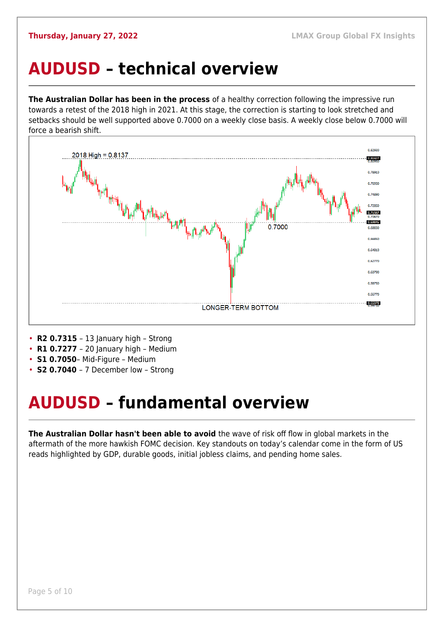### <span id="page-4-0"></span>**AUDUSD – technical overview**

**The Australian Dollar has been in the process** of a healthy correction following the impressive run towards a retest of the 2018 high in 2021. At this stage, the correction is starting to look stretched and setbacks should be well supported above 0.7000 on a weekly close basis. A weekly close below 0.7000 will force a bearish shift.



- **R2 0.7315**  13 January high Strong
- **R1 0.7277**  20 January high Medium
- **S1 0.7050** Mid-Figure Medium
- **S2 0.7040**  7 December low Strong

## <span id="page-4-1"></span>**AUDUSD – fundamental overview**

**The Australian Dollar hasn't been able to avoid** the wave of risk off flow in global markets in the aftermath of the more hawkish FOMC decision. Key standouts on today's calendar come in the form of US reads highlighted by GDP, durable goods, initial jobless claims, and pending home sales.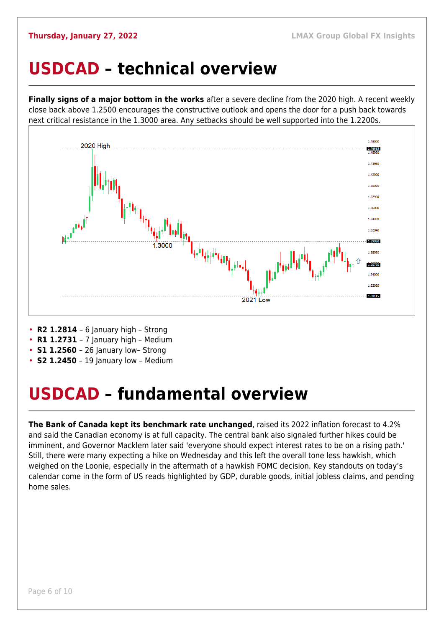#### <span id="page-5-0"></span>**USDCAD – technical overview**

**Finally signs of a major bottom in the works** after a severe decline from the 2020 high. A recent weekly close back above 1.2500 encourages the constructive outlook and opens the door for a push back towards next critical resistance in the 1.3000 area. Any setbacks should be well supported into the 1.2200s.



- **R2 1.2814**  6 January high Strong
- **R1 1.2731**  7 January high Medium
- **S1 1.2560** 26 January low- Strong
- **S2 1.2450** 19 January low Medium

### <span id="page-5-1"></span>**USDCAD – fundamental overview**

**The Bank of Canada kept its benchmark rate unchanged**, raised its 2022 inflation forecast to 4.2% and said the Canadian economy is at full capacity. The central bank also signaled further hikes could be imminent, and Governor Macklem later said 'everyone should expect interest rates to be on a rising path.' Still, there were many expecting a hike on Wednesday and this left the overall tone less hawkish, which weighed on the Loonie, especially in the aftermath of a hawkish FOMC decision. Key standouts on today's calendar come in the form of US reads highlighted by GDP, durable goods, initial jobless claims, and pending home sales.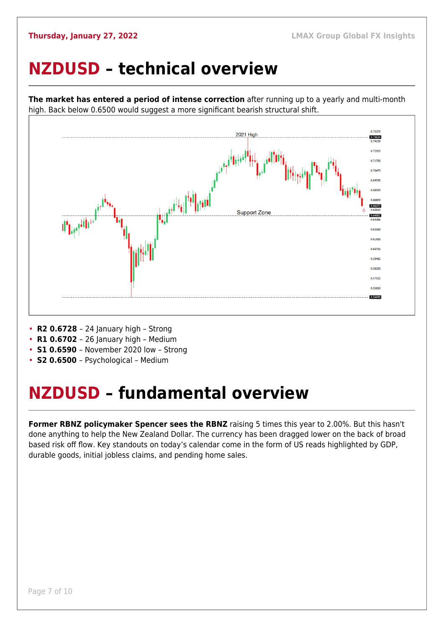### <span id="page-6-0"></span>**NZDUSD – technical overview**



**The market has entered a period of intense correction** after running up to a yearly and multi-month high. Back below 0.6500 would suggest a more significant bearish structural shift.

- **R2 0.6728**  24 January high Strong
- **R1 0.6702**  26 January high Medium
- **S1 0.6590**  November 2020 low Strong
- **S2 0.6500**  Psychological Medium

### <span id="page-6-1"></span>**NZDUSD – fundamental overview**

**Former RBNZ policymaker Spencer sees the RBNZ** raising 5 times this year to 2.00%. But this hasn't done anything to help the New Zealand Dollar. The currency has been dragged lower on the back of broad based risk off flow. Key standouts on today's calendar come in the form of US reads highlighted by GDP, durable goods, initial jobless claims, and pending home sales.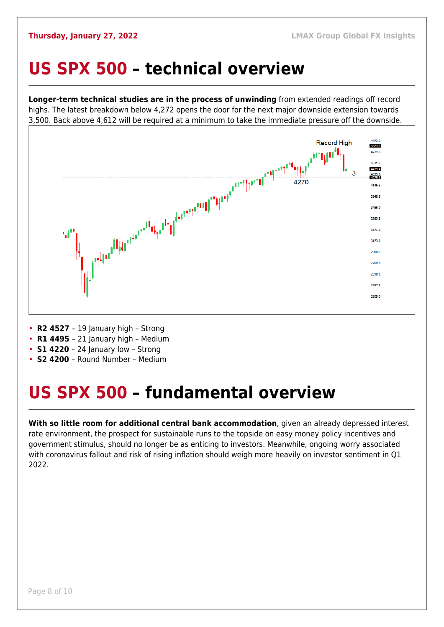#### <span id="page-7-0"></span>**US SPX 500 – technical overview**

**Longer-term technical studies are in the process of unwinding** from extended readings off record highs. The latest breakdown below 4,272 opens the door for the next major downside extension towards 3,500. Back above 4,612 will be required at a minimum to take the immediate pressure off the downside.



- **R2 4527**  19 January high Strong
- **R1 4495**  21 January high Medium
- **S1 4220**  24 January low Strong
- **S2 4200**  Round Number Medium

## <span id="page-7-1"></span>**US SPX 500 – fundamental overview**

**With so little room for additional central bank accommodation**, given an already depressed interest rate environment, the prospect for sustainable runs to the topside on easy money policy incentives and government stimulus, should no longer be as enticing to investors. Meanwhile, ongoing worry associated with coronavirus fallout and risk of rising inflation should weigh more heavily on investor sentiment in Q1 2022.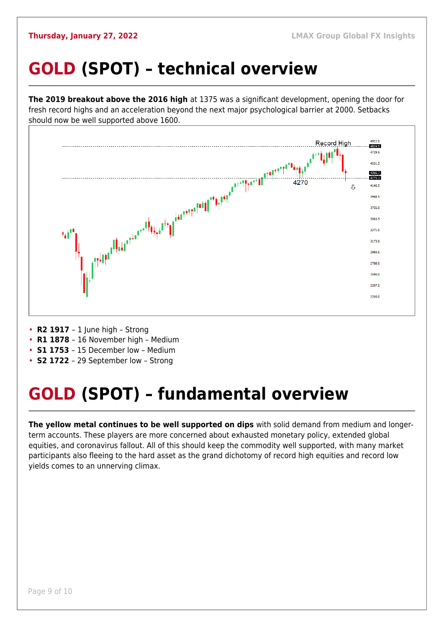## <span id="page-8-0"></span>**GOLD (SPOT) – technical overview**

**The 2019 breakout above the 2016 high** at 1375 was a significant development, opening the door for fresh record highs and an acceleration beyond the next major psychological barrier at 2000. Setbacks should now be well supported above 1600.



- **R2 1917**  1 June high Strong
- **R1 1878**  16 November high Medium
- **S1 1753**  15 December low Medium
- **S2 1722**  29 September low Strong

## <span id="page-8-1"></span>**GOLD (SPOT) – fundamental overview**

**The yellow metal continues to be well supported on dips** with solid demand from medium and longerterm accounts. These players are more concerned about exhausted monetary policy, extended global equities, and coronavirus fallout. All of this should keep the commodity well supported, with many market participants also fleeing to the hard asset as the grand dichotomy of record high equities and record low yields comes to an unnerving climax.